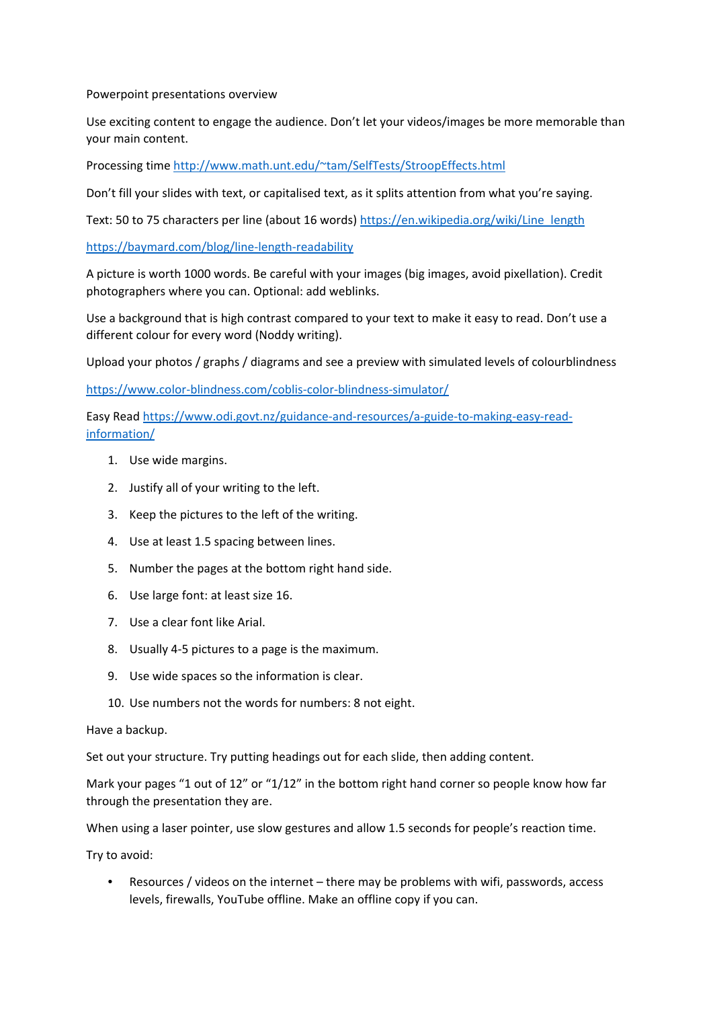Powerpoint presentations overview

Use exciting content to engage the audience. Don't let your videos/images be more memorable than your main content.

Processing time [http://www.math.unt.edu/~tam/SelfTests/StroopEffects.html](http://www.math.unt.edu/%7Etam/SelfTests/StroopEffects.html)

Don't fill your slides with text, or capitalised text, as it splits attention from what you're saying.

Text: 50 to 75 characters per line (about 16 words) [https://en.wikipedia.org/wiki/Line\\_length](https://en.wikipedia.org/wiki/Line_length)

<https://baymard.com/blog/line-length-readability>

A picture is worth 1000 words. Be careful with your images (big images, avoid pixellation). Credit photographers where you can. Optional: add weblinks.

Use a background that is high contrast compared to your text to make it easy to read. Don't use a different colour for every word (Noddy writing).

Upload your photos / graphs / diagrams and see a preview with simulated levels of colourblindness

<https://www.color-blindness.com/coblis-color-blindness-simulator/>

Easy Read [https://www.odi.govt.nz/guidance-and-resources/a-guide-to-making-easy-read](https://www.odi.govt.nz/guidance-and-resources/a-guide-to-making-easy-read-information/)[information/](https://www.odi.govt.nz/guidance-and-resources/a-guide-to-making-easy-read-information/)

- 1. Use wide margins.
- 2. Justify all of your writing to the left.
- 3. Keep the pictures to the left of the writing.
- 4. Use at least 1.5 spacing between lines.
- 5. Number the pages at the bottom right hand side.
- 6. Use large font: at least size 16.
- 7. Use a clear font like Arial.
- 8. Usually 4-5 pictures to a page is the maximum.
- 9. Use wide spaces so the information is clear.
- 10. Use numbers not the words for numbers: 8 not eight.

Have a backup.

Set out your structure. Try putting headings out for each slide, then adding content.

Mark your pages "1 out of 12" or "1/12" in the bottom right hand corner so people know how far through the presentation they are.

When using a laser pointer, use slow gestures and allow 1.5 seconds for people's reaction time.

Try to avoid:

• Resources / videos on the internet – there may be problems with wifi, passwords, access levels, firewalls, YouTube offline. Make an offline copy if you can.